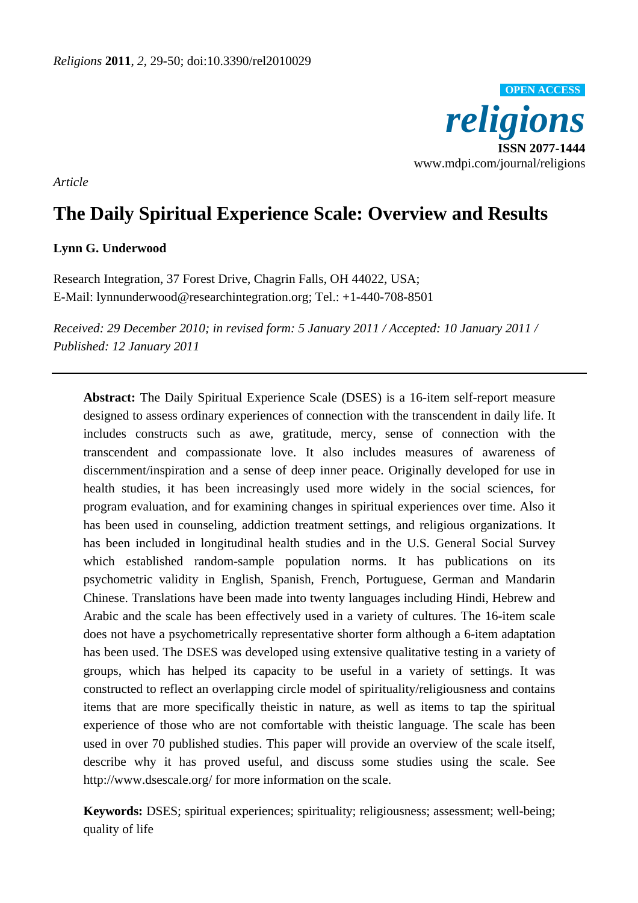

*Article* 

# **The Daily Spiritual Experience Scale: Overview and Results**

# **Lynn G. Underwood**

Research Integration, 37 Forest Drive, Chagrin Falls, OH 44022, USA; E-Mail: lynnunderwood@researchintegration.org; Tel.: +1-440-708-8501

*Received: 29 December 2010; in revised form: 5 January 2011 / Accepted: 10 January 2011 / Published: 12 January 2011* 

**Abstract:** The Daily Spiritual Experience Scale (DSES) is a 16-item self-report measure designed to assess ordinary experiences of connection with the transcendent in daily life. It includes constructs such as awe, gratitude, mercy, sense of connection with the transcendent and compassionate love. It also includes measures of awareness of discernment/inspiration and a sense of deep inner peace. Originally developed for use in health studies, it has been increasingly used more widely in the social sciences, for program evaluation, and for examining changes in spiritual experiences over time. Also it has been used in counseling, addiction treatment settings, and religious organizations. It has been included in longitudinal health studies and in the U.S. General Social Survey which established random-sample population norms. It has publications on its psychometric validity in English, Spanish, French, Portuguese, German and Mandarin Chinese. Translations have been made into twenty languages including Hindi, Hebrew and Arabic and the scale has been effectively used in a variety of cultures. The 16-item scale does not have a psychometrically representative shorter form although a 6-item adaptation has been used. The DSES was developed using extensive qualitative testing in a variety of groups, which has helped its capacity to be useful in a variety of settings. It was constructed to reflect an overlapping circle model of spirituality/religiousness and contains items that are more specifically theistic in nature, as well as items to tap the spiritual experience of those who are not comfortable with theistic language. The scale has been used in over 70 published studies. This paper will provide an overview of the scale itself, describe why it has proved useful, and discuss some studies using the scale. See http://www.dsescale.org/ for more information on the scale.

**Keywords:** DSES; spiritual experiences; spirituality; religiousness; assessment; well-being; quality of life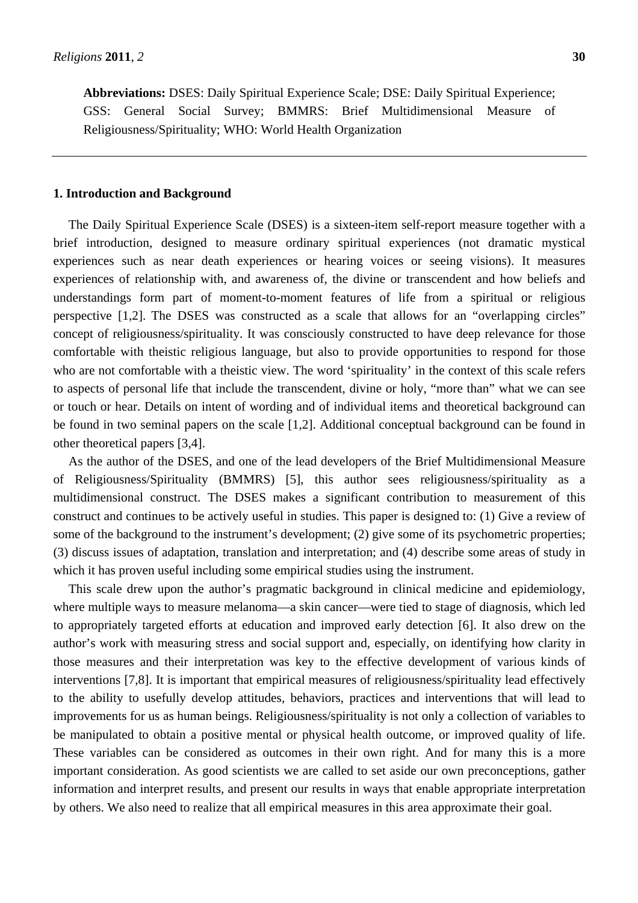**Abbreviations:** DSES: Daily Spiritual Experience Scale; DSE: Daily Spiritual Experience; GSS: General Social Survey; BMMRS: Brief Multidimensional Measure of Religiousness/Spirituality; WHO: World Health Organization

#### **1. Introduction and Background**

The Daily Spiritual Experience Scale (DSES) is a sixteen-item self-report measure together with a brief introduction, designed to measure ordinary spiritual experiences (not dramatic mystical experiences such as near death experiences or hearing voices or seeing visions). It measures experiences of relationship with, and awareness of, the divine or transcendent and how beliefs and understandings form part of moment-to-moment features of life from a spiritual or religious perspective [1,2]. The DSES was constructed as a scale that allows for an "overlapping circles" concept of religiousness/spirituality. It was consciously constructed to have deep relevance for those comfortable with theistic religious language, but also to provide opportunities to respond for those who are not comfortable with a theistic view. The word 'spirituality' in the context of this scale refers to aspects of personal life that include the transcendent, divine or holy, "more than" what we can see or touch or hear. Details on intent of wording and of individual items and theoretical background can be found in two seminal papers on the scale [1,2]. Additional conceptual background can be found in other theoretical papers [3,4].

As the author of the DSES, and one of the lead developers of the Brief Multidimensional Measure of Religiousness/Spirituality (BMMRS) [5], this author sees religiousness/spirituality as a multidimensional construct. The DSES makes a significant contribution to measurement of this construct and continues to be actively useful in studies. This paper is designed to: (1) Give a review of some of the background to the instrument's development; (2) give some of its psychometric properties; (3) discuss issues of adaptation, translation and interpretation; and (4) describe some areas of study in which it has proven useful including some empirical studies using the instrument.

This scale drew upon the author's pragmatic background in clinical medicine and epidemiology, where multiple ways to measure melanoma—a skin cancer—were tied to stage of diagnosis, which led to appropriately targeted efforts at education and improved early detection [6]. It also drew on the author's work with measuring stress and social support and, especially, on identifying how clarity in those measures and their interpretation was key to the effective development of various kinds of interventions [7,8]. It is important that empirical measures of religiousness/spirituality lead effectively to the ability to usefully develop attitudes, behaviors, practices and interventions that will lead to improvements for us as human beings. Religiousness/spirituality is not only a collection of variables to be manipulated to obtain a positive mental or physical health outcome, or improved quality of life. These variables can be considered as outcomes in their own right. And for many this is a more important consideration. As good scientists we are called to set aside our own preconceptions, gather information and interpret results, and present our results in ways that enable appropriate interpretation by others. We also need to realize that all empirical measures in this area approximate their goal.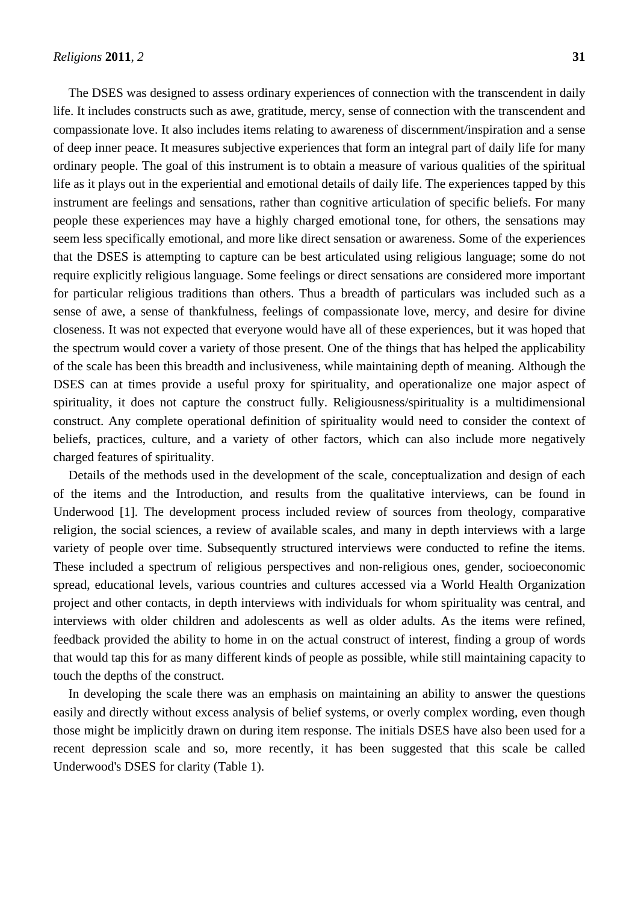The DSES was designed to assess ordinary experiences of connection with the transcendent in daily life. It includes constructs such as awe, gratitude, mercy, sense of connection with the transcendent and compassionate love. It also includes items relating to awareness of discernment/inspiration and a sense of deep inner peace. It measures subjective experiences that form an integral part of daily life for many ordinary people. The goal of this instrument is to obtain a measure of various qualities of the spiritual life as it plays out in the experiential and emotional details of daily life. The experiences tapped by this instrument are feelings and sensations, rather than cognitive articulation of specific beliefs. For many people these experiences may have a highly charged emotional tone, for others, the sensations may seem less specifically emotional, and more like direct sensation or awareness. Some of the experiences that the DSES is attempting to capture can be best articulated using religious language; some do not require explicitly religious language. Some feelings or direct sensations are considered more important for particular religious traditions than others. Thus a breadth of particulars was included such as a sense of awe, a sense of thankfulness, feelings of compassionate love, mercy, and desire for divine closeness. It was not expected that everyone would have all of these experiences, but it was hoped that the spectrum would cover a variety of those present. One of the things that has helped the applicability of the scale has been this breadth and inclusiveness, while maintaining depth of meaning. Although the DSES can at times provide a useful proxy for spirituality, and operationalize one major aspect of spirituality, it does not capture the construct fully. Religiousness/spirituality is a multidimensional construct. Any complete operational definition of spirituality would need to consider the context of beliefs, practices, culture, and a variety of other factors, which can also include more negatively charged features of spirituality.

Details of the methods used in the development of the scale, conceptualization and design of each of the items and the Introduction, and results from the qualitative interviews, can be found in Underwood [1]. The development process included review of sources from theology, comparative religion, the social sciences, a review of available scales, and many in depth interviews with a large variety of people over time. Subsequently structured interviews were conducted to refine the items. These included a spectrum of religious perspectives and non-religious ones, gender, socioeconomic spread, educational levels, various countries and cultures accessed via a World Health Organization project and other contacts, in depth interviews with individuals for whom spirituality was central, and interviews with older children and adolescents as well as older adults. As the items were refined, feedback provided the ability to home in on the actual construct of interest, finding a group of words that would tap this for as many different kinds of people as possible, while still maintaining capacity to touch the depths of the construct.

In developing the scale there was an emphasis on maintaining an ability to answer the questions easily and directly without excess analysis of belief systems, or overly complex wording, even though those might be implicitly drawn on during item response. The initials DSES have also been used for a recent depression scale and so, more recently, it has been suggested that this scale be called Underwood's DSES for clarity (Table 1).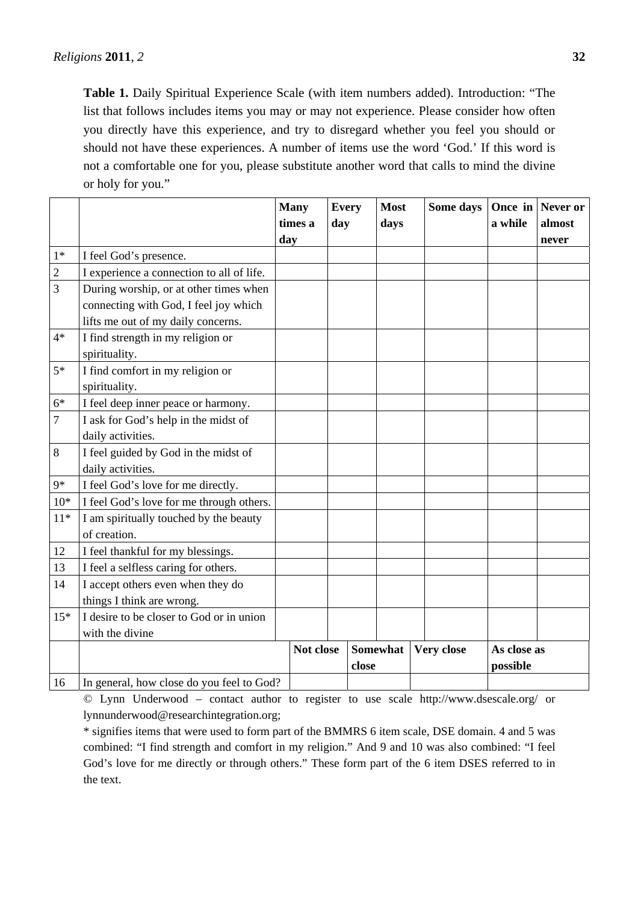**Table 1.** Daily Spiritual Experience Scale (with item numbers added). Introduction: "The list that follows includes items you may or may not experience. Please consider how often you directly have this experience, and try to disregard whether you feel you should or should not have these experiences. A number of items use the word 'God.' If this word is not a comfortable one for you, please substitute another word that calls to mind the divine or holy for you."

|                  |                                           |     | <b>Many</b><br>times a | <b>Every</b><br>day |       | <b>Most</b><br>days |  | Some days  | a while     | Once in Never or<br>almost |
|------------------|-------------------------------------------|-----|------------------------|---------------------|-------|---------------------|--|------------|-------------|----------------------------|
|                  |                                           | day |                        |                     |       |                     |  |            |             | never                      |
| $1*$             | I feel God's presence.                    |     |                        |                     |       |                     |  |            |             |                            |
| $\sqrt{2}$       | I experience a connection to all of life. |     |                        |                     |       |                     |  |            |             |                            |
| 3                | During worship, or at other times when    |     |                        |                     |       |                     |  |            |             |                            |
|                  | connecting with God, I feel joy which     |     |                        |                     |       |                     |  |            |             |                            |
|                  | lifts me out of my daily concerns.        |     |                        |                     |       |                     |  |            |             |                            |
| $4*$             | I find strength in my religion or         |     |                        |                     |       |                     |  |            |             |                            |
|                  | spirituality.                             |     |                        |                     |       |                     |  |            |             |                            |
| $5*$             | I find comfort in my religion or          |     |                        |                     |       |                     |  |            |             |                            |
|                  | spirituality.                             |     |                        |                     |       |                     |  |            |             |                            |
| $6*$             | I feel deep inner peace or harmony.       |     |                        |                     |       |                     |  |            |             |                            |
| $\boldsymbol{7}$ | I ask for God's help in the midst of      |     |                        |                     |       |                     |  |            |             |                            |
|                  | daily activities.                         |     |                        |                     |       |                     |  |            |             |                            |
| 8                | I feel guided by God in the midst of      |     |                        |                     |       |                     |  |            |             |                            |
|                  | daily activities.                         |     |                        |                     |       |                     |  |            |             |                            |
| $9*$             | I feel God's love for me directly.        |     |                        |                     |       |                     |  |            |             |                            |
| $10*$            | I feel God's love for me through others.  |     |                        |                     |       |                     |  |            |             |                            |
| $11*$            | I am spiritually touched by the beauty    |     |                        |                     |       |                     |  |            |             |                            |
|                  | of creation.                              |     |                        |                     |       |                     |  |            |             |                            |
| 12               | I feel thankful for my blessings.         |     |                        |                     |       |                     |  |            |             |                            |
| 13               | I feel a selfless caring for others.      |     |                        |                     |       |                     |  |            |             |                            |
| 14               | I accept others even when they do         |     |                        |                     |       |                     |  |            |             |                            |
|                  | things I think are wrong.                 |     |                        |                     |       |                     |  |            |             |                            |
| $15*$            | I desire to be closer to God or in union  |     |                        |                     |       |                     |  |            |             |                            |
|                  | with the divine                           |     |                        |                     |       |                     |  |            |             |                            |
|                  |                                           |     |                        | Not close           |       | <b>Somewhat</b>     |  | Very close | As close as |                            |
|                  |                                           |     |                        |                     | close |                     |  |            | possible    |                            |
| 16               | In general, how close do you feel to God? |     |                        |                     |       |                     |  |            |             |                            |

© Lynn Underwood – contact author to register to use scale http://www.dsescale.org/ or lynnunderwood@researchintegration.org;

\* signifies items that were used to form part of the BMMRS 6 item scale, DSE domain. 4 and 5 was combined: "I find strength and comfort in my religion." And 9 and 10 was also combined: "I feel God's love for me directly or through others." These form part of the 6 item DSES referred to in the text.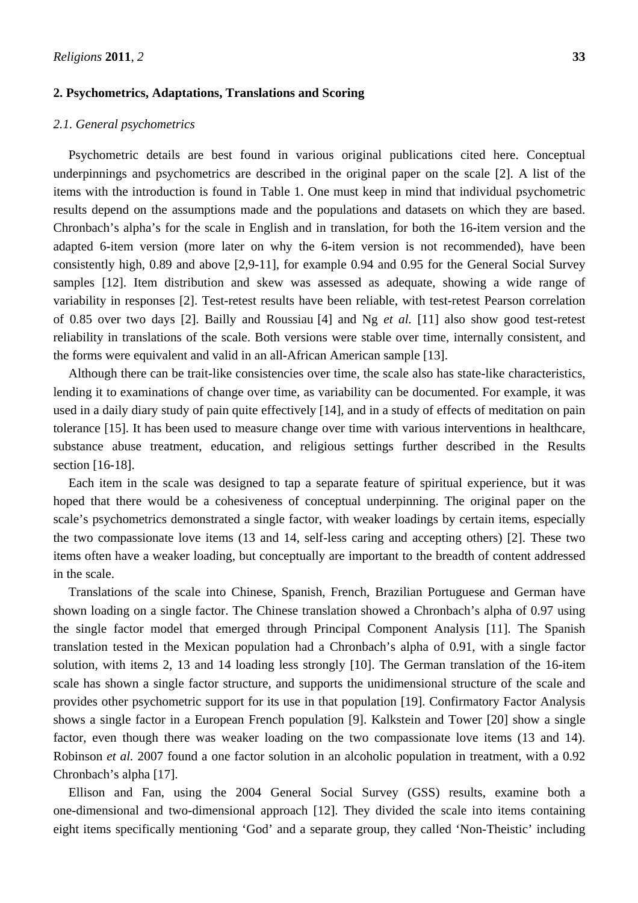## **2. Psychometrics, Adaptations, Translations and Scoring**

## *2.1. General psychometrics*

Psychometric details are best found in various original publications cited here. Conceptual underpinnings and psychometrics are described in the original paper on the scale [2]. A list of the items with the introduction is found in Table 1. One must keep in mind that individual psychometric results depend on the assumptions made and the populations and datasets on which they are based. Chronbach's alpha's for the scale in English and in translation, for both the 16-item version and the adapted 6-item version (more later on why the 6-item version is not recommended), have been consistently high, 0.89 and above [2,9-11], for example 0.94 and 0.95 for the General Social Survey samples [12]. Item distribution and skew was assessed as adequate, showing a wide range of variability in responses [2]. Test-retest results have been reliable, with test-retest Pearson correlation of 0.85 over two days [2]. Bailly and Roussiau [4] and Ng *et al.* [11] also show good test-retest reliability in translations of the scale. Both versions were stable over time, internally consistent, and the forms were equivalent and valid in an all-African American sample [13].

Although there can be trait-like consistencies over time, the scale also has state-like characteristics, lending it to examinations of change over time, as variability can be documented. For example, it was used in a daily diary study of pain quite effectively [14], and in a study of effects of meditation on pain tolerance [15]. It has been used to measure change over time with various interventions in healthcare, substance abuse treatment, education, and religious settings further described in the Results section [16-18].

Each item in the scale was designed to tap a separate feature of spiritual experience, but it was hoped that there would be a cohesiveness of conceptual underpinning. The original paper on the scale's psychometrics demonstrated a single factor, with weaker loadings by certain items, especially the two compassionate love items (13 and 14, self-less caring and accepting others) [2]. These two items often have a weaker loading, but conceptually are important to the breadth of content addressed in the scale.

Translations of the scale into Chinese, Spanish, French, Brazilian Portuguese and German have shown loading on a single factor. The Chinese translation showed a Chronbach's alpha of 0.97 using the single factor model that emerged through Principal Component Analysis [11]. The Spanish translation tested in the Mexican population had a Chronbach's alpha of 0.91, with a single factor solution, with items 2, 13 and 14 loading less strongly [10]. The German translation of the 16-item scale has shown a single factor structure, and supports the unidimensional structure of the scale and provides other psychometric support for its use in that population [19]. Confirmatory Factor Analysis shows a single factor in a European French population [9]. Kalkstein and Tower [20] show a single factor, even though there was weaker loading on the two compassionate love items (13 and 14). Robinson *et al.* 2007 found a one factor solution in an alcoholic population in treatment, with a 0.92 Chronbach's alpha [17].

Ellison and Fan, using the 2004 General Social Survey (GSS) results, examine both a one-dimensional and two-dimensional approach [12]. They divided the scale into items containing eight items specifically mentioning 'God' and a separate group, they called 'Non-Theistic' including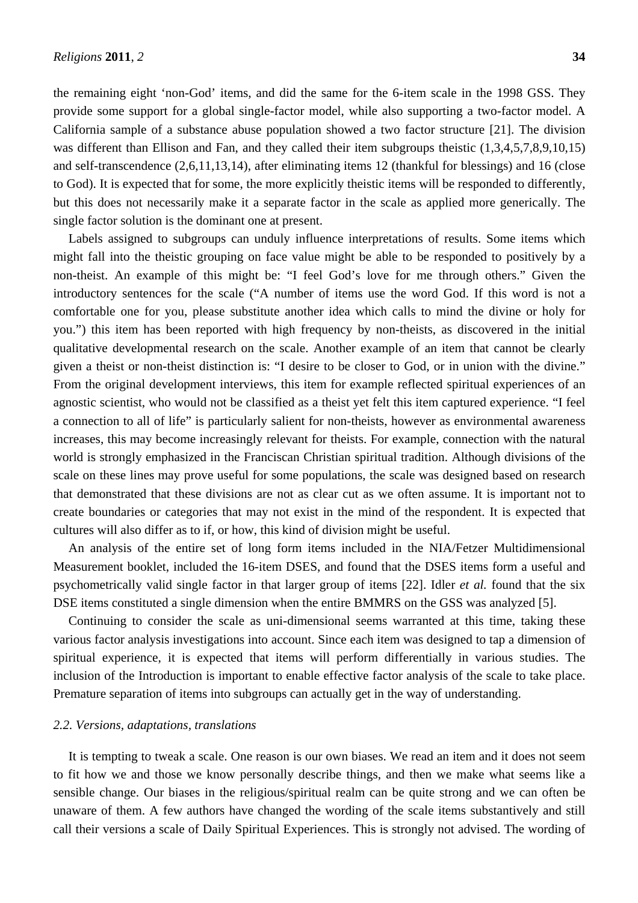the remaining eight 'non-God' items, and did the same for the 6-item scale in the 1998 GSS. They provide some support for a global single-factor model, while also supporting a two-factor model. A California sample of a substance abuse population showed a two factor structure [21]. The division was different than Ellison and Fan, and they called their item subgroups theistic  $(1,3,4,5,7,8,9,10,15)$ and self-transcendence (2,6,11,13,14), after eliminating items 12 (thankful for blessings) and 16 (close to God). It is expected that for some, the more explicitly theistic items will be responded to differently, but this does not necessarily make it a separate factor in the scale as applied more generically. The single factor solution is the dominant one at present.

Labels assigned to subgroups can unduly influence interpretations of results. Some items which might fall into the theistic grouping on face value might be able to be responded to positively by a non-theist. An example of this might be: "I feel God's love for me through others." Given the introductory sentences for the scale ("A number of items use the word God. If this word is not a comfortable one for you, please substitute another idea which calls to mind the divine or holy for you.") this item has been reported with high frequency by non-theists, as discovered in the initial qualitative developmental research on the scale. Another example of an item that cannot be clearly given a theist or non-theist distinction is: "I desire to be closer to God, or in union with the divine." From the original development interviews, this item for example reflected spiritual experiences of an agnostic scientist, who would not be classified as a theist yet felt this item captured experience. "I feel a connection to all of life" is particularly salient for non-theists, however as environmental awareness increases, this may become increasingly relevant for theists. For example, connection with the natural world is strongly emphasized in the Franciscan Christian spiritual tradition. Although divisions of the scale on these lines may prove useful for some populations, the scale was designed based on research that demonstrated that these divisions are not as clear cut as we often assume. It is important not to create boundaries or categories that may not exist in the mind of the respondent. It is expected that cultures will also differ as to if, or how, this kind of division might be useful.

An analysis of the entire set of long form items included in the NIA/Fetzer Multidimensional Measurement booklet, included the 16-item DSES, and found that the DSES items form a useful and psychometrically valid single factor in that larger group of items [22]. Idler *et al.* found that the six DSE items constituted a single dimension when the entire BMMRS on the GSS was analyzed [5].

Continuing to consider the scale as uni-dimensional seems warranted at this time, taking these various factor analysis investigations into account. Since each item was designed to tap a dimension of spiritual experience, it is expected that items will perform differentially in various studies. The inclusion of the Introduction is important to enable effective factor analysis of the scale to take place. Premature separation of items into subgroups can actually get in the way of understanding.

#### *2.2. Versions, adaptations, translations*

It is tempting to tweak a scale. One reason is our own biases. We read an item and it does not seem to fit how we and those we know personally describe things, and then we make what seems like a sensible change. Our biases in the religious/spiritual realm can be quite strong and we can often be unaware of them. A few authors have changed the wording of the scale items substantively and still call their versions a scale of Daily Spiritual Experiences. This is strongly not advised. The wording of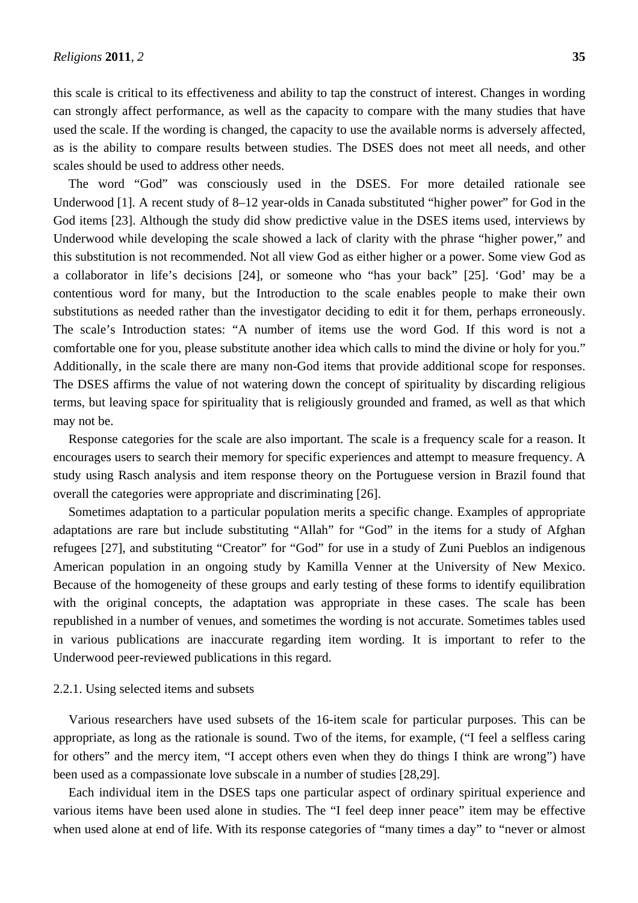this scale is critical to its effectiveness and ability to tap the construct of interest. Changes in wording can strongly affect performance, as well as the capacity to compare with the many studies that have used the scale. If the wording is changed, the capacity to use the available norms is adversely affected, as is the ability to compare results between studies. The DSES does not meet all needs, and other scales should be used to address other needs.

The word "God" was consciously used in the DSES. For more detailed rationale see Underwood [1]. A recent study of 8–12 year-olds in Canada substituted "higher power" for God in the God items [23]. Although the study did show predictive value in the DSES items used, interviews by Underwood while developing the scale showed a lack of clarity with the phrase "higher power," and this substitution is not recommended. Not all view God as either higher or a power. Some view God as a collaborator in life's decisions [24], or someone who "has your back" [25]. 'God' may be a contentious word for many, but the Introduction to the scale enables people to make their own substitutions as needed rather than the investigator deciding to edit it for them, perhaps erroneously. The scale's Introduction states: "A number of items use the word God. If this word is not a comfortable one for you, please substitute another idea which calls to mind the divine or holy for you." Additionally, in the scale there are many non-God items that provide additional scope for responses. The DSES affirms the value of not watering down the concept of spirituality by discarding religious terms, but leaving space for spirituality that is religiously grounded and framed, as well as that which may not be.

Response categories for the scale are also important. The scale is a frequency scale for a reason. It encourages users to search their memory for specific experiences and attempt to measure frequency. A study using Rasch analysis and item response theory on the Portuguese version in Brazil found that overall the categories were appropriate and discriminating [26].

Sometimes adaptation to a particular population merits a specific change. Examples of appropriate adaptations are rare but include substituting "Allah" for "God" in the items for a study of Afghan refugees [27], and substituting "Creator" for "God" for use in a study of Zuni Pueblos an indigenous American population in an ongoing study by Kamilla Venner at the University of New Mexico. Because of the homogeneity of these groups and early testing of these forms to identify equilibration with the original concepts, the adaptation was appropriate in these cases. The scale has been republished in a number of venues, and sometimes the wording is not accurate. Sometimes tables used in various publications are inaccurate regarding item wording. It is important to refer to the Underwood peer-reviewed publications in this regard.

#### 2.2.1. Using selected items and subsets

Various researchers have used subsets of the 16-item scale for particular purposes. This can be appropriate, as long as the rationale is sound. Two of the items, for example, ("I feel a selfless caring for others" and the mercy item, "I accept others even when they do things I think are wrong") have been used as a compassionate love subscale in a number of studies [28,29].

Each individual item in the DSES taps one particular aspect of ordinary spiritual experience and various items have been used alone in studies. The "I feel deep inner peace" item may be effective when used alone at end of life. With its response categories of "many times a day" to "never or almost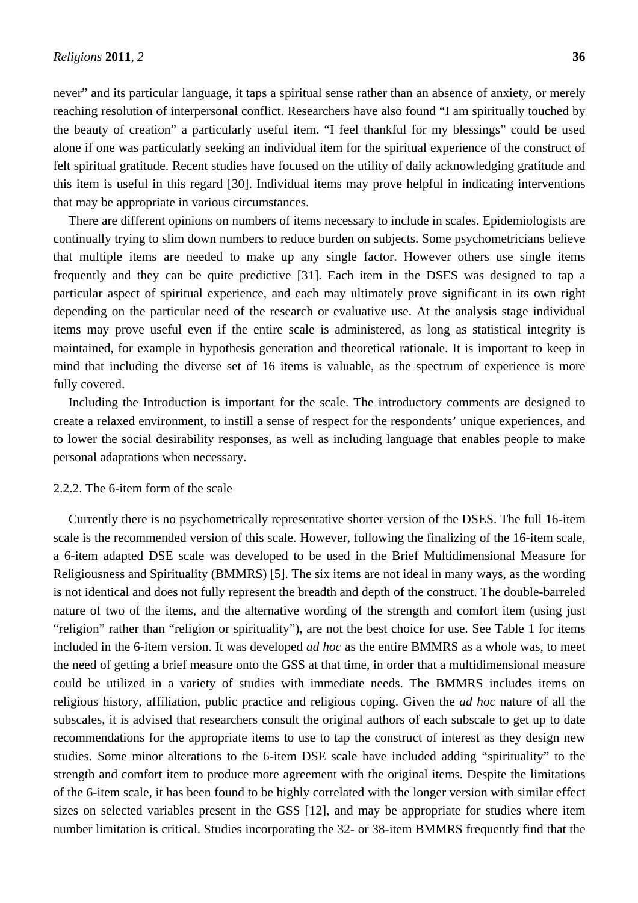never" and its particular language, it taps a spiritual sense rather than an absence of anxiety, or merely reaching resolution of interpersonal conflict. Researchers have also found "I am spiritually touched by the beauty of creation" a particularly useful item. "I feel thankful for my blessings" could be used alone if one was particularly seeking an individual item for the spiritual experience of the construct of felt spiritual gratitude. Recent studies have focused on the utility of daily acknowledging gratitude and this item is useful in this regard [30]. Individual items may prove helpful in indicating interventions that may be appropriate in various circumstances.

There are different opinions on numbers of items necessary to include in scales. Epidemiologists are continually trying to slim down numbers to reduce burden on subjects. Some psychometricians believe that multiple items are needed to make up any single factor. However others use single items frequently and they can be quite predictive [31]. Each item in the DSES was designed to tap a particular aspect of spiritual experience, and each may ultimately prove significant in its own right depending on the particular need of the research or evaluative use. At the analysis stage individual items may prove useful even if the entire scale is administered, as long as statistical integrity is maintained, for example in hypothesis generation and theoretical rationale. It is important to keep in mind that including the diverse set of 16 items is valuable, as the spectrum of experience is more fully covered.

Including the Introduction is important for the scale. The introductory comments are designed to create a relaxed environment, to instill a sense of respect for the respondents' unique experiences, and to lower the social desirability responses, as well as including language that enables people to make personal adaptations when necessary.

# 2.2.2. The 6-item form of the scale

Currently there is no psychometrically representative shorter version of the DSES. The full 16-item scale is the recommended version of this scale. However, following the finalizing of the 16-item scale, a 6-item adapted DSE scale was developed to be used in the Brief Multidimensional Measure for Religiousness and Spirituality (BMMRS) [5]. The six items are not ideal in many ways, as the wording is not identical and does not fully represent the breadth and depth of the construct. The double-barreled nature of two of the items, and the alternative wording of the strength and comfort item (using just "religion" rather than "religion or spirituality"), are not the best choice for use. See Table 1 for items included in the 6-item version. It was developed *ad hoc* as the entire BMMRS as a whole was, to meet the need of getting a brief measure onto the GSS at that time, in order that a multidimensional measure could be utilized in a variety of studies with immediate needs. The BMMRS includes items on religious history, affiliation, public practice and religious coping. Given the *ad hoc* nature of all the subscales, it is advised that researchers consult the original authors of each subscale to get up to date recommendations for the appropriate items to use to tap the construct of interest as they design new studies. Some minor alterations to the 6-item DSE scale have included adding "spirituality" to the strength and comfort item to produce more agreement with the original items. Despite the limitations of the 6-item scale, it has been found to be highly correlated with the longer version with similar effect sizes on selected variables present in the GSS [12], and may be appropriate for studies where item number limitation is critical. Studies incorporating the 32- or 38-item BMMRS frequently find that the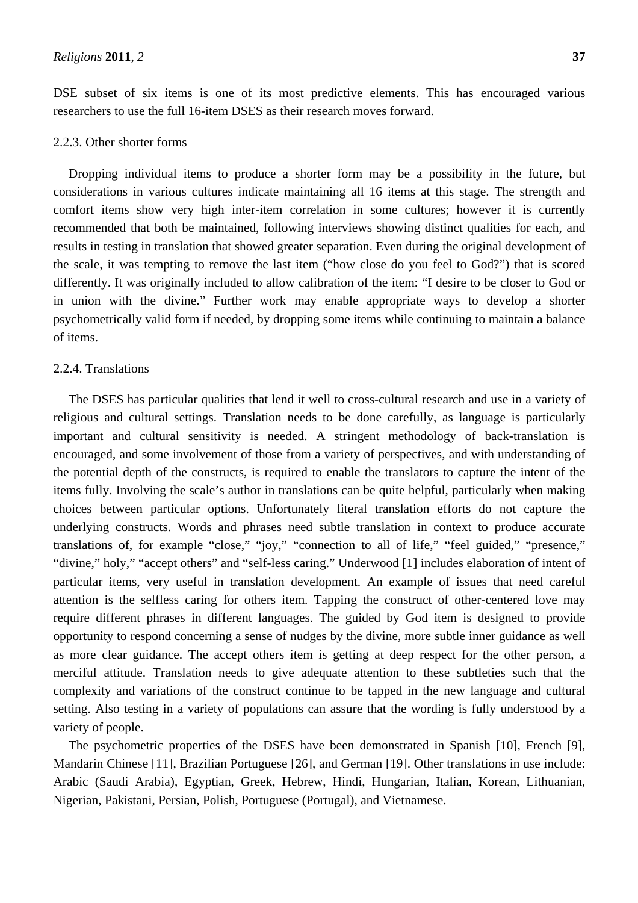DSE subset of six items is one of its most predictive elements. This has encouraged various researchers to use the full 16-item DSES as their research moves forward.

## 2.2.3. Other shorter forms

Dropping individual items to produce a shorter form may be a possibility in the future, but considerations in various cultures indicate maintaining all 16 items at this stage. The strength and comfort items show very high inter-item correlation in some cultures; however it is currently recommended that both be maintained, following interviews showing distinct qualities for each, and results in testing in translation that showed greater separation. Even during the original development of the scale, it was tempting to remove the last item ("how close do you feel to God?") that is scored differently. It was originally included to allow calibration of the item: "I desire to be closer to God or in union with the divine." Further work may enable appropriate ways to develop a shorter psychometrically valid form if needed, by dropping some items while continuing to maintain a balance of items.

#### 2.2.4. Translations

The DSES has particular qualities that lend it well to cross-cultural research and use in a variety of religious and cultural settings. Translation needs to be done carefully, as language is particularly important and cultural sensitivity is needed. A stringent methodology of back-translation is encouraged, and some involvement of those from a variety of perspectives, and with understanding of the potential depth of the constructs, is required to enable the translators to capture the intent of the items fully. Involving the scale's author in translations can be quite helpful, particularly when making choices between particular options. Unfortunately literal translation efforts do not capture the underlying constructs. Words and phrases need subtle translation in context to produce accurate translations of, for example "close," "joy," "connection to all of life," "feel guided," "presence," "divine," holy," "accept others" and "self-less caring." Underwood [1] includes elaboration of intent of particular items, very useful in translation development. An example of issues that need careful attention is the selfless caring for others item. Tapping the construct of other-centered love may require different phrases in different languages. The guided by God item is designed to provide opportunity to respond concerning a sense of nudges by the divine, more subtle inner guidance as well as more clear guidance. The accept others item is getting at deep respect for the other person, a merciful attitude. Translation needs to give adequate attention to these subtleties such that the complexity and variations of the construct continue to be tapped in the new language and cultural setting. Also testing in a variety of populations can assure that the wording is fully understood by a variety of people.

The psychometric properties of the DSES have been demonstrated in Spanish [10], French [9], Mandarin Chinese [11], Brazilian Portuguese [26], and German [19]. Other translations in use include: Arabic (Saudi Arabia), Egyptian, Greek, Hebrew, Hindi, Hungarian, Italian, Korean, Lithuanian, Nigerian, Pakistani, Persian, Polish, Portuguese (Portugal), and Vietnamese.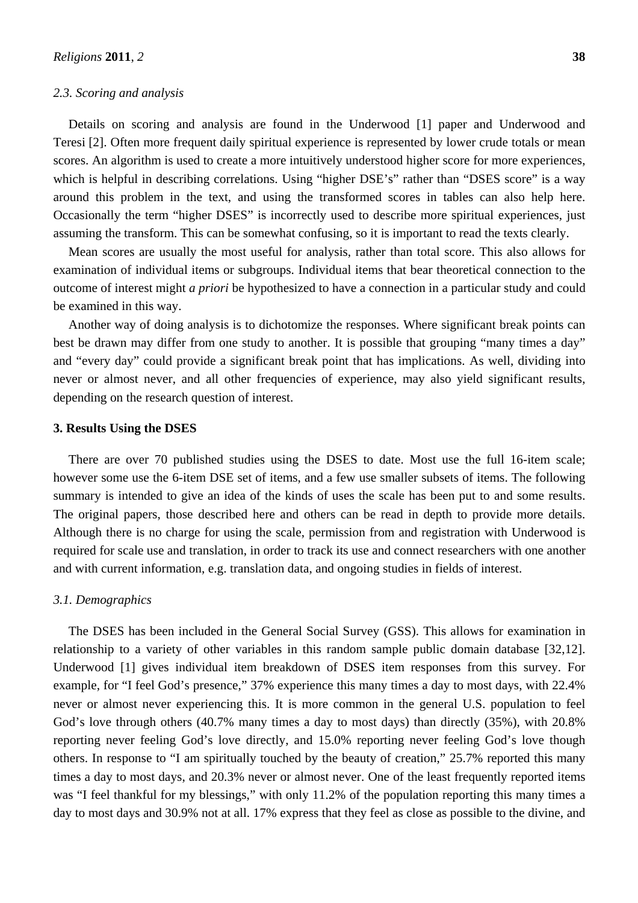## *2.3. Scoring and analysis*

Details on scoring and analysis are found in the Underwood [1] paper and Underwood and Teresi [2]. Often more frequent daily spiritual experience is represented by lower crude totals or mean scores. An algorithm is used to create a more intuitively understood higher score for more experiences, which is helpful in describing correlations. Using "higher DSE's" rather than "DSES score" is a way around this problem in the text, and using the transformed scores in tables can also help here. Occasionally the term "higher DSES" is incorrectly used to describe more spiritual experiences, just assuming the transform. This can be somewhat confusing, so it is important to read the texts clearly.

Mean scores are usually the most useful for analysis, rather than total score. This also allows for examination of individual items or subgroups. Individual items that bear theoretical connection to the outcome of interest might *a priori* be hypothesized to have a connection in a particular study and could be examined in this way.

Another way of doing analysis is to dichotomize the responses. Where significant break points can best be drawn may differ from one study to another. It is possible that grouping "many times a day" and "every day" could provide a significant break point that has implications. As well, dividing into never or almost never, and all other frequencies of experience, may also yield significant results, depending on the research question of interest.

# **3. Results Using the DSES**

There are over 70 published studies using the DSES to date. Most use the full 16-item scale; however some use the 6-item DSE set of items, and a few use smaller subsets of items. The following summary is intended to give an idea of the kinds of uses the scale has been put to and some results. The original papers, those described here and others can be read in depth to provide more details. Although there is no charge for using the scale, permission from and registration with Underwood is required for scale use and translation, in order to track its use and connect researchers with one another and with current information, e.g. translation data, and ongoing studies in fields of interest.

## *3.1. Demographics*

The DSES has been included in the General Social Survey (GSS). This allows for examination in relationship to a variety of other variables in this random sample public domain database [32,12]. Underwood [1] gives individual item breakdown of DSES item responses from this survey. For example, for "I feel God's presence," 37% experience this many times a day to most days, with 22.4% never or almost never experiencing this. It is more common in the general U.S. population to feel God's love through others (40.7% many times a day to most days) than directly (35%), with 20.8% reporting never feeling God's love directly, and 15.0% reporting never feeling God's love though others. In response to "I am spiritually touched by the beauty of creation," 25.7% reported this many times a day to most days, and 20.3% never or almost never. One of the least frequently reported items was "I feel thankful for my blessings," with only 11.2% of the population reporting this many times a day to most days and 30.9% not at all. 17% express that they feel as close as possible to the divine, and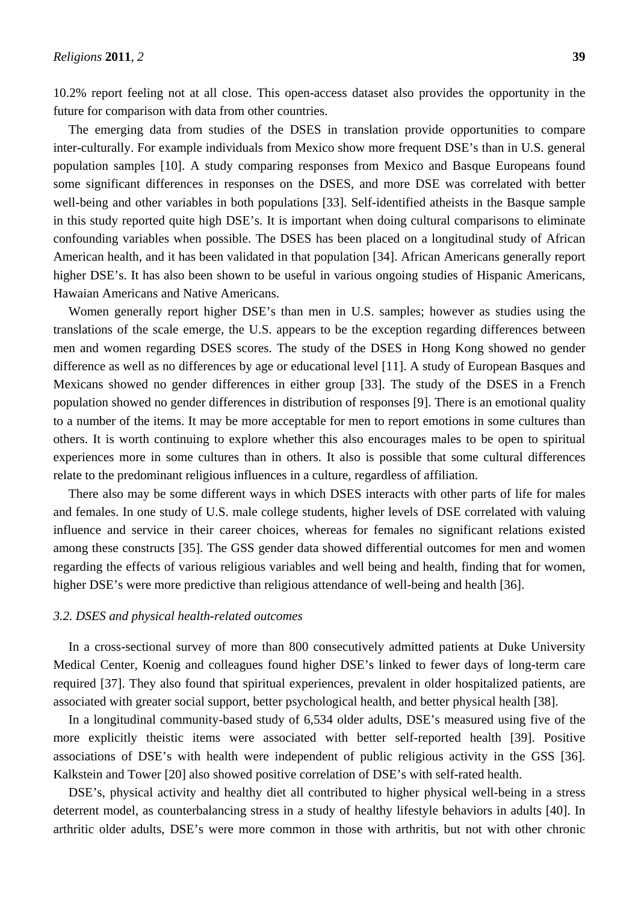10.2% report feeling not at all close. This open-access dataset also provides the opportunity in the future for comparison with data from other countries.

The emerging data from studies of the DSES in translation provide opportunities to compare inter-culturally. For example individuals from Mexico show more frequent DSE's than in U.S. general population samples [10]. A study comparing responses from Mexico and Basque Europeans found some significant differences in responses on the DSES, and more DSE was correlated with better well-being and other variables in both populations [33]. Self-identified atheists in the Basque sample in this study reported quite high DSE's. It is important when doing cultural comparisons to eliminate confounding variables when possible. The DSES has been placed on a longitudinal study of African American health, and it has been validated in that population [34]. African Americans generally report higher DSE's. It has also been shown to be useful in various ongoing studies of Hispanic Americans, Hawaian Americans and Native Americans.

Women generally report higher DSE's than men in U.S. samples; however as studies using the translations of the scale emerge, the U.S. appears to be the exception regarding differences between men and women regarding DSES scores. The study of the DSES in Hong Kong showed no gender difference as well as no differences by age or educational level [11]. A study of European Basques and Mexicans showed no gender differences in either group [33]. The study of the DSES in a French population showed no gender differences in distribution of responses [9]. There is an emotional quality to a number of the items. It may be more acceptable for men to report emotions in some cultures than others. It is worth continuing to explore whether this also encourages males to be open to spiritual experiences more in some cultures than in others. It also is possible that some cultural differences relate to the predominant religious influences in a culture, regardless of affiliation.

There also may be some different ways in which DSES interacts with other parts of life for males and females. In one study of U.S. male college students, higher levels of DSE correlated with valuing influence and service in their career choices, whereas for females no significant relations existed among these constructs [35]. The GSS gender data showed differential outcomes for men and women regarding the effects of various religious variables and well being and health, finding that for women, higher DSE's were more predictive than religious attendance of well-being and health [36].

#### *3.2. DSES and physical health-related outcomes*

In a cross-sectional survey of more than 800 consecutively admitted patients at Duke University Medical Center, Koenig and colleagues found higher DSE's linked to fewer days of long-term care required [37]. They also found that spiritual experiences, prevalent in older hospitalized patients, are associated with greater social support, better psychological health, and better physical health [38].

In a longitudinal community-based study of 6,534 older adults, DSE's measured using five of the more explicitly theistic items were associated with better self-reported health [39]. Positive associations of DSE's with health were independent of public religious activity in the GSS [36]. Kalkstein and Tower [20] also showed positive correlation of DSE's with self-rated health.

DSE's, physical activity and healthy diet all contributed to higher physical well-being in a stress deterrent model, as counterbalancing stress in a study of healthy lifestyle behaviors in adults [40]. In arthritic older adults, DSE's were more common in those with arthritis, but not with other chronic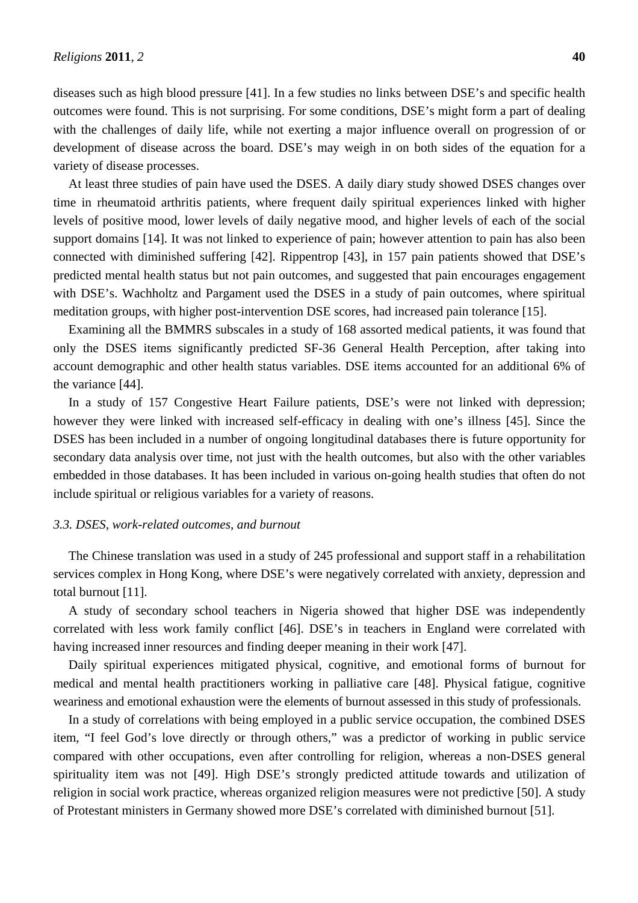diseases such as high blood pressure [41]. In a few studies no links between DSE's and specific health outcomes were found. This is not surprising. For some conditions, DSE's might form a part of dealing with the challenges of daily life, while not exerting a major influence overall on progression of or development of disease across the board. DSE's may weigh in on both sides of the equation for a variety of disease processes.

At least three studies of pain have used the DSES. A daily diary study showed DSES changes over time in rheumatoid arthritis patients, where frequent daily spiritual experiences linked with higher levels of positive mood, lower levels of daily negative mood, and higher levels of each of the social support domains [14]. It was not linked to experience of pain; however attention to pain has also been connected with diminished suffering [42]. Rippentrop [43], in 157 pain patients showed that DSE's predicted mental health status but not pain outcomes, and suggested that pain encourages engagement with DSE's. Wachholtz and Pargament used the DSES in a study of pain outcomes, where spiritual meditation groups, with higher post-intervention DSE scores, had increased pain tolerance [15].

Examining all the BMMRS subscales in a study of 168 assorted medical patients, it was found that only the DSES items significantly predicted SF-36 General Health Perception, after taking into account demographic and other health status variables. DSE items accounted for an additional 6% of the variance [44].

In a study of 157 Congestive Heart Failure patients, DSE's were not linked with depression; however they were linked with increased self-efficacy in dealing with one's illness [45]. Since the DSES has been included in a number of ongoing longitudinal databases there is future opportunity for secondary data analysis over time, not just with the health outcomes, but also with the other variables embedded in those databases. It has been included in various on-going health studies that often do not include spiritual or religious variables for a variety of reasons.

# *3.3. DSES, work-related outcomes, and burnout*

The Chinese translation was used in a study of 245 professional and support staff in a rehabilitation services complex in Hong Kong, where DSE's were negatively correlated with anxiety, depression and total burnout [11].

A study of secondary school teachers in Nigeria showed that higher DSE was independently correlated with less work family conflict [46]. DSE's in teachers in England were correlated with having increased inner resources and finding deeper meaning in their work [47].

Daily spiritual experiences mitigated physical, cognitive, and emotional forms of burnout for medical and mental health practitioners working in palliative care [48]. Physical fatigue, cognitive weariness and emotional exhaustion were the elements of burnout assessed in this study of professionals.

In a study of correlations with being employed in a public service occupation, the combined DSES item, "I feel God's love directly or through others," was a predictor of working in public service compared with other occupations, even after controlling for religion, whereas a non-DSES general spirituality item was not [49]. High DSE's strongly predicted attitude towards and utilization of religion in social work practice, whereas organized religion measures were not predictive [50]. A study of Protestant ministers in Germany showed more DSE's correlated with diminished burnout [51].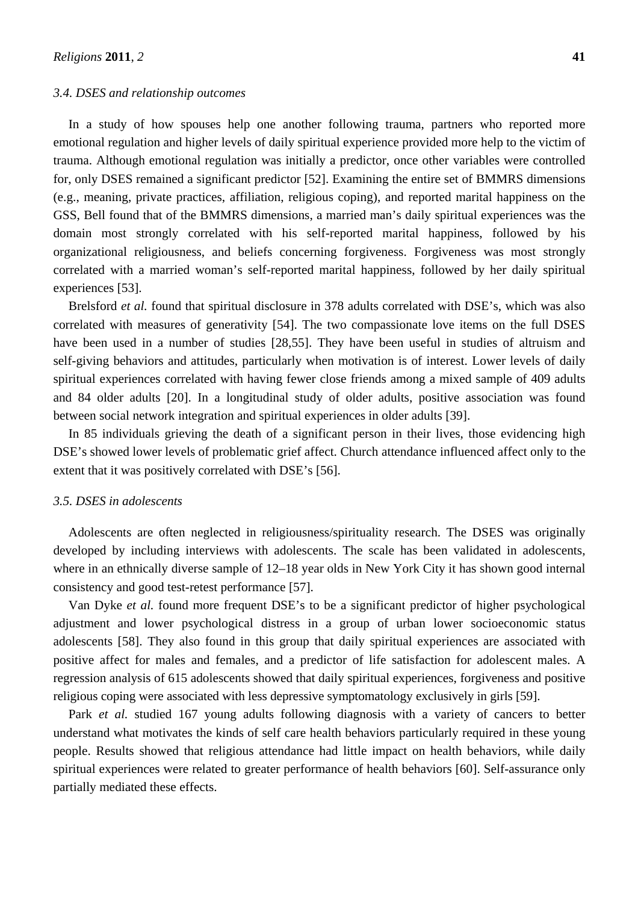#### *3.4. DSES and relationship outcomes*

In a study of how spouses help one another following trauma, partners who reported more emotional regulation and higher levels of daily spiritual experience provided more help to the victim of trauma. Although emotional regulation was initially a predictor, once other variables were controlled for, only DSES remained a significant predictor [52]. Examining the entire set of BMMRS dimensions (e.g., meaning, private practices, affiliation, religious coping), and reported marital happiness on the GSS, Bell found that of the BMMRS dimensions, a married man's daily spiritual experiences was the domain most strongly correlated with his self-reported marital happiness, followed by his organizational religiousness, and beliefs concerning forgiveness. Forgiveness was most strongly correlated with a married woman's self-reported marital happiness, followed by her daily spiritual experiences [53].

Brelsford *et al.* found that spiritual disclosure in 378 adults correlated with DSE's, which was also correlated with measures of generativity [54]. The two compassionate love items on the full DSES have been used in a number of studies [28,55]. They have been useful in studies of altruism and self-giving behaviors and attitudes, particularly when motivation is of interest. Lower levels of daily spiritual experiences correlated with having fewer close friends among a mixed sample of 409 adults and 84 older adults [20]. In a longitudinal study of older adults, positive association was found between social network integration and spiritual experiences in older adults [39].

In 85 individuals grieving the death of a significant person in their lives, those evidencing high DSE's showed lower levels of problematic grief affect. Church attendance influenced affect only to the extent that it was positively correlated with DSE's [56].

#### *3.5. DSES in adolescents*

Adolescents are often neglected in religiousness/spirituality research. The DSES was originally developed by including interviews with adolescents. The scale has been validated in adolescents, where in an ethnically diverse sample of 12–18 year olds in New York City it has shown good internal consistency and good test-retest performance [57].

Van Dyke *et al.* found more frequent DSE's to be a significant predictor of higher psychological adjustment and lower psychological distress in a group of urban lower socioeconomic status adolescents [58]. They also found in this group that daily spiritual experiences are associated with positive affect for males and females, and a predictor of life satisfaction for adolescent males. A regression analysis of 615 adolescents showed that daily spiritual experiences, forgiveness and positive religious coping were associated with less depressive symptomatology exclusively in girls [59].

Park *et al.* studied 167 young adults following diagnosis with a variety of cancers to better understand what motivates the kinds of self care health behaviors particularly required in these young people. Results showed that religious attendance had little impact on health behaviors, while daily spiritual experiences were related to greater performance of health behaviors [60]. Self-assurance only partially mediated these effects.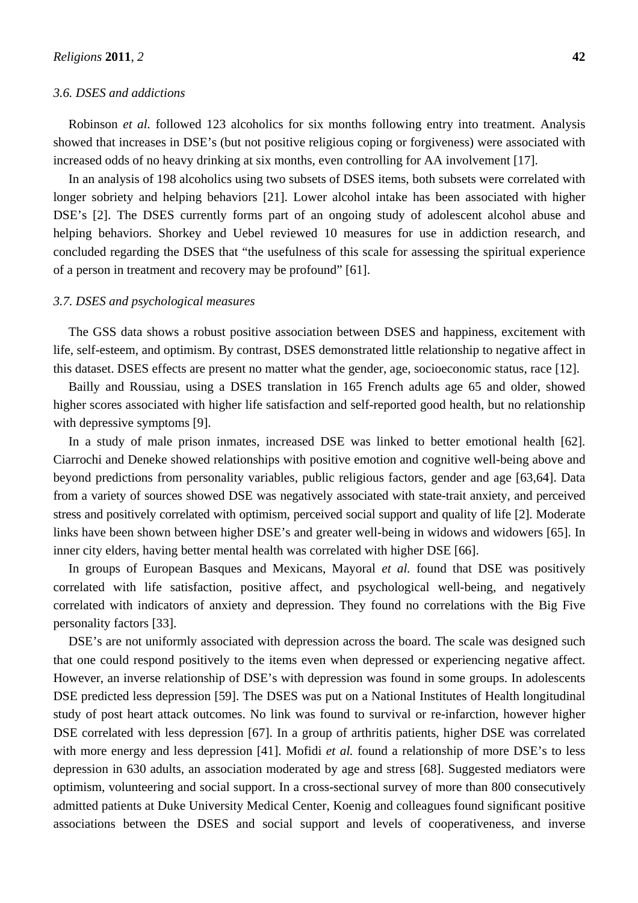#### *3.6. DSES and addictions*

Robinson *et al.* followed 123 alcoholics for six months following entry into treatment. Analysis showed that increases in DSE's (but not positive religious coping or forgiveness) were associated with increased odds of no heavy drinking at six months, even controlling for AA involvement [17].

In an analysis of 198 alcoholics using two subsets of DSES items, both subsets were correlated with longer sobriety and helping behaviors [21]. Lower alcohol intake has been associated with higher DSE's [2]. The DSES currently forms part of an ongoing study of adolescent alcohol abuse and helping behaviors. Shorkey and Uebel reviewed 10 measures for use in addiction research, and concluded regarding the DSES that "the usefulness of this scale for assessing the spiritual experience of a person in treatment and recovery may be profound" [61].

#### *3.7. DSES and psychological measures*

The GSS data shows a robust positive association between DSES and happiness, excitement with life, self-esteem, and optimism. By contrast, DSES demonstrated little relationship to negative affect in this dataset. DSES effects are present no matter what the gender, age, socioeconomic status, race [12].

Bailly and Roussiau, using a DSES translation in 165 French adults age 65 and older, showed higher scores associated with higher life satisfaction and self-reported good health, but no relationship with depressive symptoms [9].

In a study of male prison inmates, increased DSE was linked to better emotional health [62]. Ciarrochi and Deneke showed relationships with positive emotion and cognitive well-being above and beyond predictions from personality variables, public religious factors, gender and age [63,64]. Data from a variety of sources showed DSE was negatively associated with state-trait anxiety, and perceived stress and positively correlated with optimism, perceived social support and quality of life [2]. Moderate links have been shown between higher DSE's and greater well-being in widows and widowers [65]. In inner city elders, having better mental health was correlated with higher DSE [66].

In groups of European Basques and Mexicans, Mayoral *et al.* found that DSE was positively correlated with life satisfaction, positive affect, and psychological well-being, and negatively correlated with indicators of anxiety and depression. They found no correlations with the Big Five personality factors [33].

DSE's are not uniformly associated with depression across the board. The scale was designed such that one could respond positively to the items even when depressed or experiencing negative affect. However, an inverse relationship of DSE's with depression was found in some groups. In adolescents DSE predicted less depression [59]. The DSES was put on a National Institutes of Health longitudinal study of post heart attack outcomes. No link was found to survival or re-infarction, however higher DSE correlated with less depression [67]. In a group of arthritis patients, higher DSE was correlated with more energy and less depression [41]. Mofidi *et al.* found a relationship of more DSE's to less depression in 630 adults, an association moderated by age and stress [68]. Suggested mediators were optimism, volunteering and social support. In a cross-sectional survey of more than 800 consecutively admitted patients at Duke University Medical Center, Koenig and colleagues found significant positive associations between the DSES and social support and levels of cooperativeness, and inverse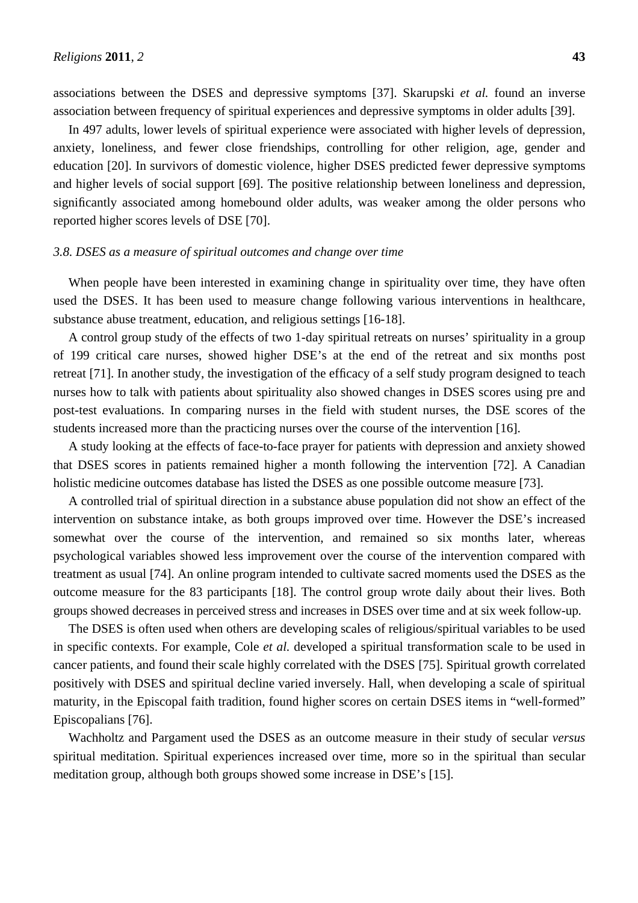associations between the DSES and depressive symptoms [37]. Skarupski *et al.* found an inverse association between frequency of spiritual experiences and depressive symptoms in older adults [39].

In 497 adults, lower levels of spiritual experience were associated with higher levels of depression, anxiety, loneliness, and fewer close friendships, controlling for other religion, age, gender and education [20]. In survivors of domestic violence, higher DSES predicted fewer depressive symptoms and higher levels of social support [69]. The positive relationship between loneliness and depression, significantly associated among homebound older adults, was weaker among the older persons who reported higher scores levels of DSE [70].

# *3.8. DSES as a measure of spiritual outcomes and change over time*

When people have been interested in examining change in spirituality over time, they have often used the DSES. It has been used to measure change following various interventions in healthcare, substance abuse treatment, education, and religious settings [16-18].

A control group study of the effects of two 1-day spiritual retreats on nurses' spirituality in a group of 199 critical care nurses, showed higher DSE's at the end of the retreat and six months post retreat [71]. In another study, the investigation of the efficacy of a self study program designed to teach nurses how to talk with patients about spirituality also showed changes in DSES scores using pre and post-test evaluations. In comparing nurses in the field with student nurses, the DSE scores of the students increased more than the practicing nurses over the course of the intervention [16].

A study looking at the effects of face-to-face prayer for patients with depression and anxiety showed that DSES scores in patients remained higher a month following the intervention [72]. A Canadian holistic medicine outcomes database has listed the DSES as one possible outcome measure [73].

A controlled trial of spiritual direction in a substance abuse population did not show an effect of the intervention on substance intake, as both groups improved over time. However the DSE's increased somewhat over the course of the intervention, and remained so six months later, whereas psychological variables showed less improvement over the course of the intervention compared with treatment as usual [74]. An online program intended to cultivate sacred moments used the DSES as the outcome measure for the 83 participants [18]. The control group wrote daily about their lives. Both groups showed decreases in perceived stress and increases in DSES over time and at six week follow-up.

The DSES is often used when others are developing scales of religious/spiritual variables to be used in specific contexts. For example, Cole *et al.* developed a spiritual transformation scale to be used in cancer patients, and found their scale highly correlated with the DSES [75]. Spiritual growth correlated positively with DSES and spiritual decline varied inversely. Hall, when developing a scale of spiritual maturity, in the Episcopal faith tradition, found higher scores on certain DSES items in "well-formed" Episcopalians [76].

Wachholtz and Pargament used the DSES as an outcome measure in their study of secular *versus* spiritual meditation. Spiritual experiences increased over time, more so in the spiritual than secular meditation group, although both groups showed some increase in DSE's [15].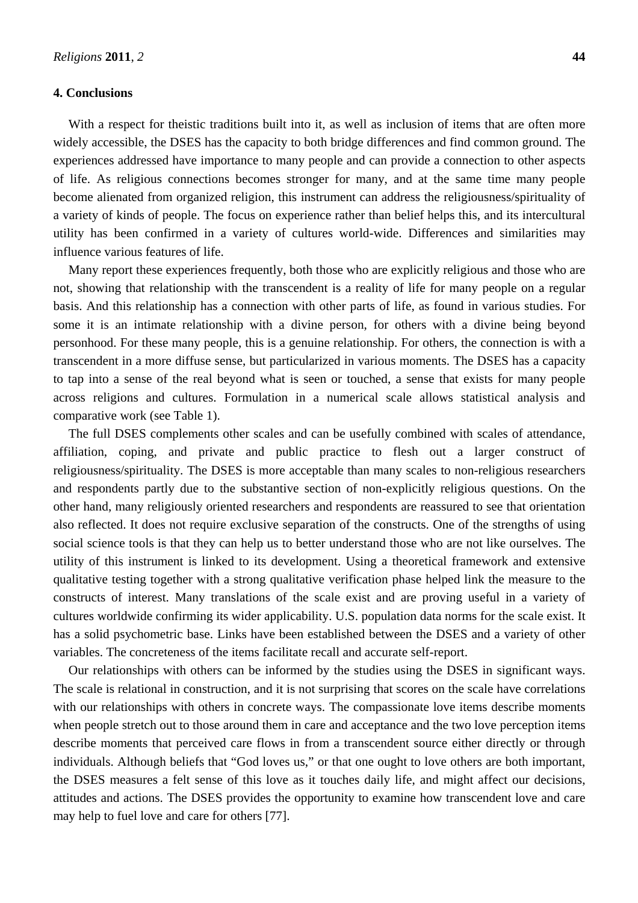## **4. Conclusions**

With a respect for theistic traditions built into it, as well as inclusion of items that are often more widely accessible, the DSES has the capacity to both bridge differences and find common ground. The experiences addressed have importance to many people and can provide a connection to other aspects of life. As religious connections becomes stronger for many, and at the same time many people become alienated from organized religion, this instrument can address the religiousness/spirituality of a variety of kinds of people. The focus on experience rather than belief helps this, and its intercultural utility has been confirmed in a variety of cultures world-wide. Differences and similarities may influence various features of life.

Many report these experiences frequently, both those who are explicitly religious and those who are not, showing that relationship with the transcendent is a reality of life for many people on a regular basis. And this relationship has a connection with other parts of life, as found in various studies. For some it is an intimate relationship with a divine person, for others with a divine being beyond personhood. For these many people, this is a genuine relationship. For others, the connection is with a transcendent in a more diffuse sense, but particularized in various moments. The DSES has a capacity to tap into a sense of the real beyond what is seen or touched, a sense that exists for many people across religions and cultures. Formulation in a numerical scale allows statistical analysis and comparative work (see Table 1).

The full DSES complements other scales and can be usefully combined with scales of attendance, affiliation, coping, and private and public practice to flesh out a larger construct of religiousness/spirituality. The DSES is more acceptable than many scales to non-religious researchers and respondents partly due to the substantive section of non-explicitly religious questions. On the other hand, many religiously oriented researchers and respondents are reassured to see that orientation also reflected. It does not require exclusive separation of the constructs. One of the strengths of using social science tools is that they can help us to better understand those who are not like ourselves. The utility of this instrument is linked to its development. Using a theoretical framework and extensive qualitative testing together with a strong qualitative verification phase helped link the measure to the constructs of interest. Many translations of the scale exist and are proving useful in a variety of cultures worldwide confirming its wider applicability. U.S. population data norms for the scale exist. It has a solid psychometric base. Links have been established between the DSES and a variety of other variables. The concreteness of the items facilitate recall and accurate self-report.

Our relationships with others can be informed by the studies using the DSES in significant ways. The scale is relational in construction, and it is not surprising that scores on the scale have correlations with our relationships with others in concrete ways. The compassionate love items describe moments when people stretch out to those around them in care and acceptance and the two love perception items describe moments that perceived care flows in from a transcendent source either directly or through individuals. Although beliefs that "God loves us," or that one ought to love others are both important, the DSES measures a felt sense of this love as it touches daily life, and might affect our decisions, attitudes and actions. The DSES provides the opportunity to examine how transcendent love and care may help to fuel love and care for others [77].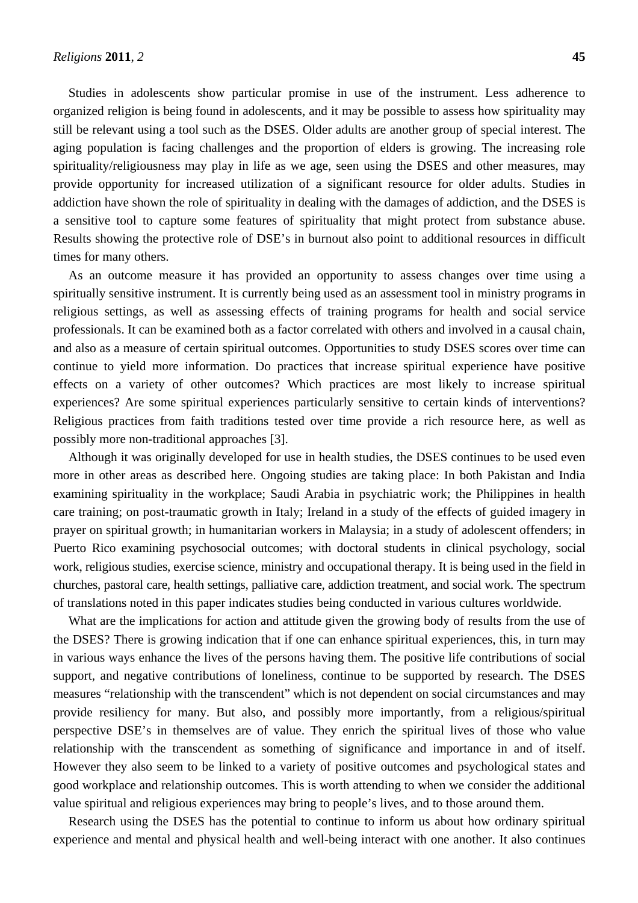Studies in adolescents show particular promise in use of the instrument. Less adherence to organized religion is being found in adolescents, and it may be possible to assess how spirituality may still be relevant using a tool such as the DSES. Older adults are another group of special interest. The aging population is facing challenges and the proportion of elders is growing. The increasing role spirituality/religiousness may play in life as we age, seen using the DSES and other measures, may provide opportunity for increased utilization of a significant resource for older adults. Studies in addiction have shown the role of spirituality in dealing with the damages of addiction, and the DSES is a sensitive tool to capture some features of spirituality that might protect from substance abuse. Results showing the protective role of DSE's in burnout also point to additional resources in difficult times for many others.

As an outcome measure it has provided an opportunity to assess changes over time using a spiritually sensitive instrument. It is currently being used as an assessment tool in ministry programs in religious settings, as well as assessing effects of training programs for health and social service professionals. It can be examined both as a factor correlated with others and involved in a causal chain, and also as a measure of certain spiritual outcomes. Opportunities to study DSES scores over time can continue to yield more information. Do practices that increase spiritual experience have positive effects on a variety of other outcomes? Which practices are most likely to increase spiritual experiences? Are some spiritual experiences particularly sensitive to certain kinds of interventions? Religious practices from faith traditions tested over time provide a rich resource here, as well as possibly more non-traditional approaches [3].

Although it was originally developed for use in health studies, the DSES continues to be used even more in other areas as described here. Ongoing studies are taking place: In both Pakistan and India examining spirituality in the workplace; Saudi Arabia in psychiatric work; the Philippines in health care training; on post-traumatic growth in Italy; Ireland in a study of the effects of guided imagery in prayer on spiritual growth; in humanitarian workers in Malaysia; in a study of adolescent offenders; in Puerto Rico examining psychosocial outcomes; with doctoral students in clinical psychology, social work, religious studies, exercise science, ministry and occupational therapy. It is being used in the field in churches, pastoral care, health settings, palliative care, addiction treatment, and social work. The spectrum of translations noted in this paper indicates studies being conducted in various cultures worldwide.

What are the implications for action and attitude given the growing body of results from the use of the DSES? There is growing indication that if one can enhance spiritual experiences, this, in turn may in various ways enhance the lives of the persons having them. The positive life contributions of social support, and negative contributions of loneliness, continue to be supported by research. The DSES measures "relationship with the transcendent" which is not dependent on social circumstances and may provide resiliency for many. But also, and possibly more importantly, from a religious/spiritual perspective DSE's in themselves are of value. They enrich the spiritual lives of those who value relationship with the transcendent as something of significance and importance in and of itself. However they also seem to be linked to a variety of positive outcomes and psychological states and good workplace and relationship outcomes. This is worth attending to when we consider the additional value spiritual and religious experiences may bring to people's lives, and to those around them.

Research using the DSES has the potential to continue to inform us about how ordinary spiritual experience and mental and physical health and well-being interact with one another. It also continues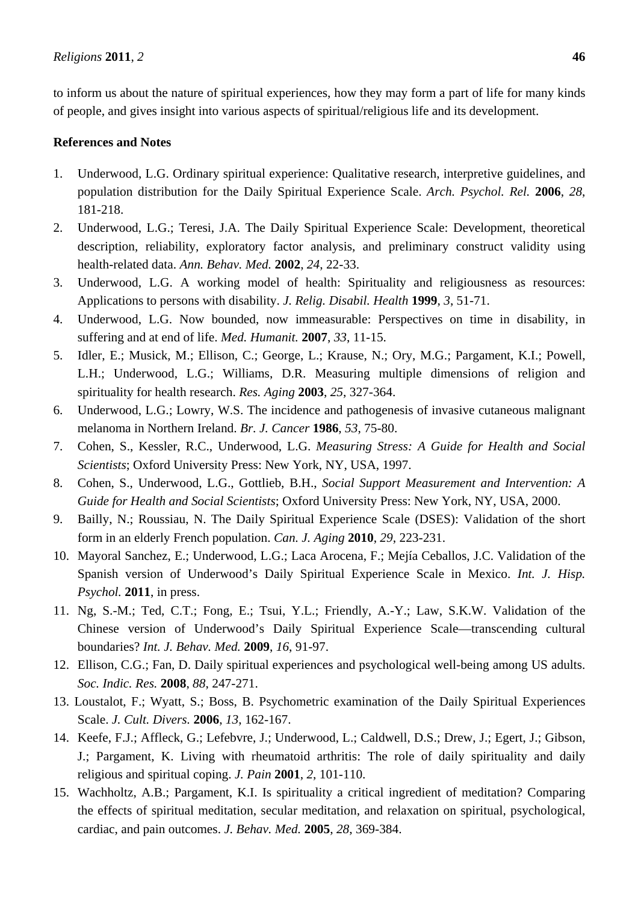to inform us about the nature of spiritual experiences, how they may form a part of life for many kinds of people, and gives insight into various aspects of spiritual/religious life and its development.

# **References and Notes**

- 1. Underwood, L.G. Ordinary spiritual experience: Qualitative research, interpretive guidelines, and population distribution for the Daily Spiritual Experience Scale. *Arch. Psychol. Rel.* **2006**, *28*, 181-218.
- 2. Underwood, L.G.; Teresi, J.A. The Daily Spiritual Experience Scale: Development, theoretical description, reliability, exploratory factor analysis, and preliminary construct validity using health-related data. *Ann. Behav. Med.* **2002**, *24*, 22-33.
- 3. Underwood, L.G. A working model of health: Spirituality and religiousness as resources: Applications to persons with disability. *J. Relig. Disabil. Health* **1999**, *3*, 51-71.
- 4. Underwood, L.G. Now bounded, now immeasurable: Perspectives on time in disability, in suffering and at end of life. *Med. Humanit.* **2007**, *33*, 11-15.
- 5. Idler, E.; Musick, M.; Ellison, C.; George, L.; Krause, N.; Ory, M.G.; Pargament, K.I.; Powell, L.H.; Underwood, L.G.; Williams, D.R. Measuring multiple dimensions of religion and spirituality for health research. *Res. Aging* **2003**, *25*, 327-364.
- 6. Underwood, L.G.; Lowry, W.S. The incidence and pathogenesis of invasive cutaneous malignant melanoma in Northern Ireland. *Br. J. Cancer* **1986**, *53*, 75-80.
- 7. Cohen, S., Kessler, R.C., Underwood, L.G. *Measuring Stress: A Guide for Health and Social Scientists*; Oxford University Press: New York, NY, USA, 1997.
- 8. Cohen, S., Underwood, L.G., Gottlieb, B.H., *Social Support Measurement and Intervention: A Guide for Health and Social Scientists*; Oxford University Press: New York, NY, USA, 2000.
- 9. Bailly, N.; Roussiau, N. The Daily Spiritual Experience Scale (DSES): Validation of the short form in an elderly French population. *Can. J. Aging* **2010**, *29*, 223-231.
- 10. Mayoral Sanchez, E.; Underwood, L.G.; Laca Arocena, F.; Mejía Ceballos, J.C. Validation of the Spanish version of Underwood's Daily Spiritual Experience Scale in Mexico. *Int. J. Hisp. Psychol.* **2011**, in press.
- 11. Ng, S.-M.; Ted, C.T.; Fong, E.; Tsui, Y.L.; Friendly, A.-Y.; Law, S.K.W. Validation of the Chinese version of Underwood's Daily Spiritual Experience Scale—transcending cultural boundaries? *Int. J. Behav. Med.* **2009**, *16*, 91-97.
- 12. Ellison, C.G.; Fan, D. Daily spiritual experiences and psychological well-being among US adults. *Soc. Indic. Res.* **2008**, *88*, 247-271.
- 13. Loustalot, F.; Wyatt, S.; Boss, B. Psychometric examination of the Daily Spiritual Experiences Scale. *J. Cult. Divers.* **2006**, *13*, 162-167.
- 14. Keefe, F.J.; Affleck, G.; Lefebvre, J.; Underwood, L.; Caldwell, D.S.; Drew, J.; Egert, J.; Gibson, J.; Pargament, K. Living with rheumatoid arthritis: The role of daily spirituality and daily religious and spiritual coping. *J. Pain* **2001**, *2*, 101-110.
- 15. Wachholtz, A.B.; Pargament, K.I. Is spirituality a critical ingredient of meditation? Comparing the effects of spiritual meditation, secular meditation, and relaxation on spiritual, psychological, cardiac, and pain outcomes. *J. Behav. Med.* **2005**, *28*, 369-384.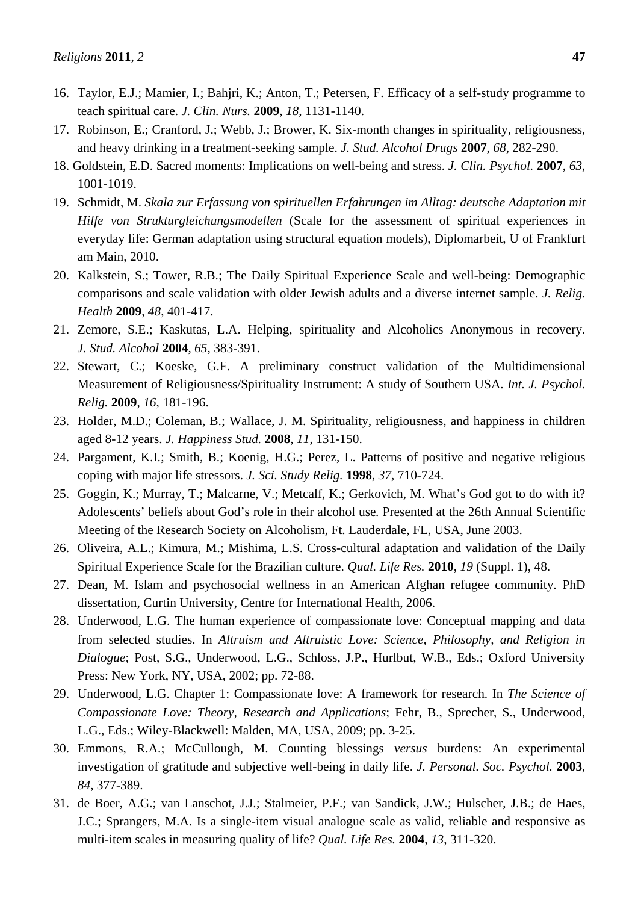- 17. Robinson, E.; Cranford, J.; Webb, J.; Brower, K. Six-month changes in spirituality, religiousness, and heavy drinking in a treatment-seeking sample. *J. Stud. Alcohol Drugs* **2007**, *68*, 282-290.
- 18. Goldstein, E.D. Sacred moments: Implications on well-being and stress. *J. Clin. Psychol.* **2007**, *63*, 1001-1019.
- 19. Schmidt, M. *Skala zur Erfassung von spirituellen Erfahrungen im Alltag: deutsche Adaptation mit Hilfe von Strukturgleichungsmodellen* (Scale for the assessment of spiritual experiences in everyday life: German adaptation using structural equation models), Diplomarbeit, U of Frankfurt am Main, 2010.
- 20. Kalkstein, S.; Tower, R.B.; The Daily Spiritual Experience Scale and well-being: Demographic comparisons and scale validation with older Jewish adults and a diverse internet sample. *J. Relig. Health* **2009**, *48*, 401-417.
- 21. Zemore, S.E.; Kaskutas, L.A. Helping, spirituality and Alcoholics Anonymous in recovery. *J. Stud. Alcohol* **2004**, *65*, 383-391.
- 22. Stewart, C.; Koeske, G.F. A preliminary construct validation of the Multidimensional Measurement of Religiousness/Spirituality Instrument: A study of Southern USA. *Int. J. Psychol. Relig.* **2009**, *16*, 181-196.
- 23. Holder, M.D.; Coleman, B.; Wallace, J. M. Spirituality, religiousness, and happiness in children aged 8-12 years. *J. Happiness Stud.* **2008**, *11*, 131-150.
- 24. Pargament, K.I.; Smith, B.; Koenig, H.G.; Perez, L. Patterns of positive and negative religious coping with major life stressors. *J. Sci. Study Relig.* **1998**, *37*, 710-724.
- 25. Goggin, K.; Murray, T.; Malcarne, V.; Metcalf, K.; Gerkovich, M. What's God got to do with it? Adolescents' beliefs about God's role in their alcohol use*.* Presented at the 26th Annual Scientific Meeting of the Research Society on Alcoholism, Ft. Lauderdale, FL, USA, June 2003.
- 26. Oliveira, A.L.; Kimura, M.; Mishima, L.S. Cross-cultural adaptation and validation of the Daily Spiritual Experience Scale for the Brazilian culture. *Qual. Life Res.* **2010**, *19* (Suppl. 1), 48.
- 27. Dean, M. Islam and psychosocial wellness in an American Afghan refugee community. PhD dissertation, Curtin University, Centre for International Health, 2006.
- 28. Underwood, L.G. The human experience of compassionate love: Conceptual mapping and data from selected studies. In *Altruism and Altruistic Love: Science, Philosophy, and Religion in Dialogue*; Post, S.G., Underwood, L.G., Schloss, J.P., Hurlbut, W.B., Eds.; Oxford University Press: New York, NY, USA, 2002; pp. 72-88.
- 29. Underwood, L.G. Chapter 1: Compassionate love: A framework for research. In *The Science of Compassionate Love: Theory, Research and Applications*; Fehr, B., Sprecher, S., Underwood, L.G., Eds.; Wiley-Blackwell: Malden, MA, USA, 2009; pp. 3-25.
- 30. Emmons, R.A.; McCullough, M. Counting blessings *versus* burdens: An experimental investigation of gratitude and subjective well-being in daily life. *J. Personal. Soc. Psychol.* **2003**, *84*, 377-389.
- 31. de Boer, A.G.; van Lanschot, J.J.; Stalmeier, P.F.; van Sandick, J.W.; Hulscher, J.B.; de Haes, J.C.; Sprangers, M.A. Is a single-item visual analogue scale as valid, reliable and responsive as multi-item scales in measuring quality of life? *Qual. Life Res.* **2004**, *13*, 311-320.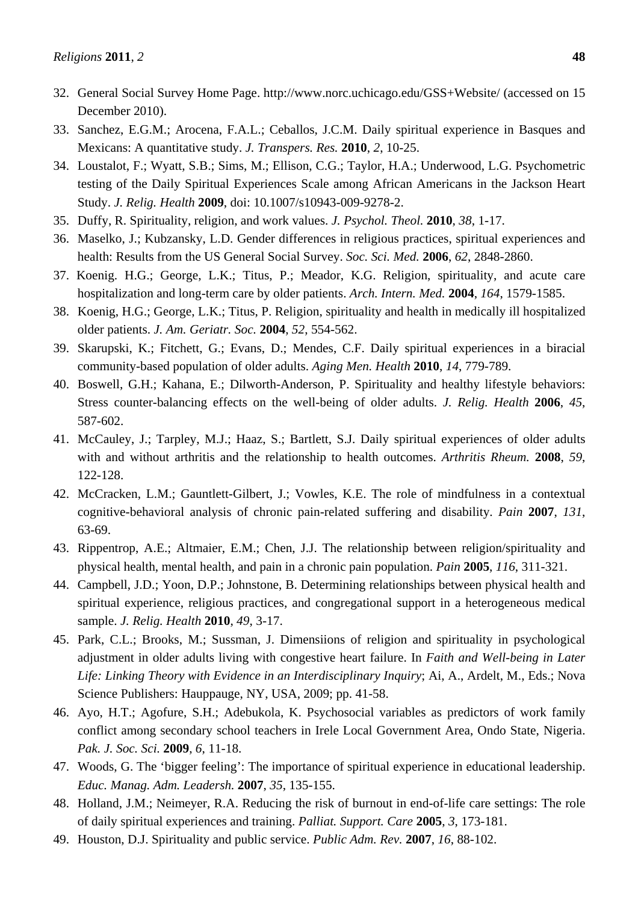- 32. General Social Survey Home Page. http://www.norc.uchicago.edu/GSS+Website/ (accessed on 15 December 2010).
- 33. Sanchez, E.G.M.; Arocena, F.A.L.; Ceballos, J.C.M. Daily spiritual experience in Basques and Mexicans: A quantitative study. *J. Transpers. Res.* **2010**, *2*, 10-25.
- 34. Loustalot, F.; Wyatt, S.B.; Sims, M.; Ellison, C.G.; Taylor, H.A.; Underwood, L.G. Psychometric testing of the Daily Spiritual Experiences Scale among African Americans in the Jackson Heart Study. *J. Relig. Health* **2009**, doi: 10.1007/s10943-009-9278-2.
- 35. Duffy, R. Spirituality, religion, and work values. *J. Psychol. Theol.* **2010**, *38*, 1-17.
- 36. Maselko, J.; Kubzansky, L.D. Gender differences in religious practices, spiritual experiences and health: Results from the US General Social Survey. *Soc. Sci. Med.* **2006**, *62*, 2848-2860.
- 37. Koenig. H.G.; George, L.K.; Titus, P.; Meador, K.G. Religion, spirituality, and acute care hospitalization and long-term care by older patients. *Arch. Intern. Med.* **2004**, *164*, 1579-1585.
- 38. Koenig, H.G.; George, L.K.; Titus, P. Religion, spirituality and health in medically ill hospitalized older patients. *J. Am. Geriatr. Soc.* **2004**, *52*, 554-562.
- 39. Skarupski, K.; Fitchett, G.; Evans, D.; Mendes, C.F. Daily spiritual experiences in a biracial community-based population of older adults. *Aging Men. Health* **2010**, *14*, 779-789.
- 40. Boswell, G.H.; Kahana, E.; Dilworth-Anderson, P. Spirituality and healthy lifestyle behaviors: Stress counter-balancing effects on the well-being of older adults. *J. Relig. Health* **2006**, *45*, 587-602.
- 41. McCauley, J.; Tarpley, M.J.; Haaz, S.; Bartlett, S.J. Daily spiritual experiences of older adults with and without arthritis and the relationship to health outcomes. *Arthritis Rheum.* **2008**, *59*, 122-128.
- 42. McCracken, L.M.; Gauntlett-Gilbert, J.; Vowles, K.E. The role of mindfulness in a contextual cognitive-behavioral analysis of chronic pain-related suffering and disability. *Pain* **2007**, *131*, 63-69.
- 43. Rippentrop, A.E.; Altmaier, E.M.; Chen, J.J. The relationship between religion/spirituality and physical health, mental health, and pain in a chronic pain population. *Pain* **2005**, *116*, 311-321.
- 44. Campbell, J.D.; Yoon, D.P.; Johnstone, B. Determining relationships between physical health and spiritual experience, religious practices, and congregational support in a heterogeneous medical sample. *J. Relig. Health* **2010**, *49*, 3-17.
- 45. Park, C.L.; Brooks, M.; Sussman, J. Dimensiions of religion and spirituality in psychological adjustment in older adults living with congestive heart failure. In *Faith and Well-being in Later Life: Linking Theory with Evidence in an Interdisciplinary Inquiry*; Ai, A., Ardelt, M., Eds.; Nova Science Publishers: Hauppauge, NY, USA, 2009; pp. 41-58.
- 46. Ayo, H.T.; Agofure, S.H.; Adebukola, K. Psychosocial variables as predictors of work family conflict among secondary school teachers in Irele Local Government Area, Ondo State, Nigeria. *Pak. J. Soc. Sci.* **2009**, *6*, 11-18.
- 47. Woods, G. The 'bigger feeling': The importance of spiritual experience in educational leadership. *Educ. Manag. Adm. Leadersh.* **2007**, *35*, 135-155.
- 48. Holland, J.M.; Neimeyer, R.A. Reducing the risk of burnout in end-of-life care settings: The role of daily spiritual experiences and training. *Palliat. Support. Care* **2005**, *3*, 173-181.
- 49. Houston, D.J. Spirituality and public service. *Public Adm. Rev.* **2007**, *16*, 88-102.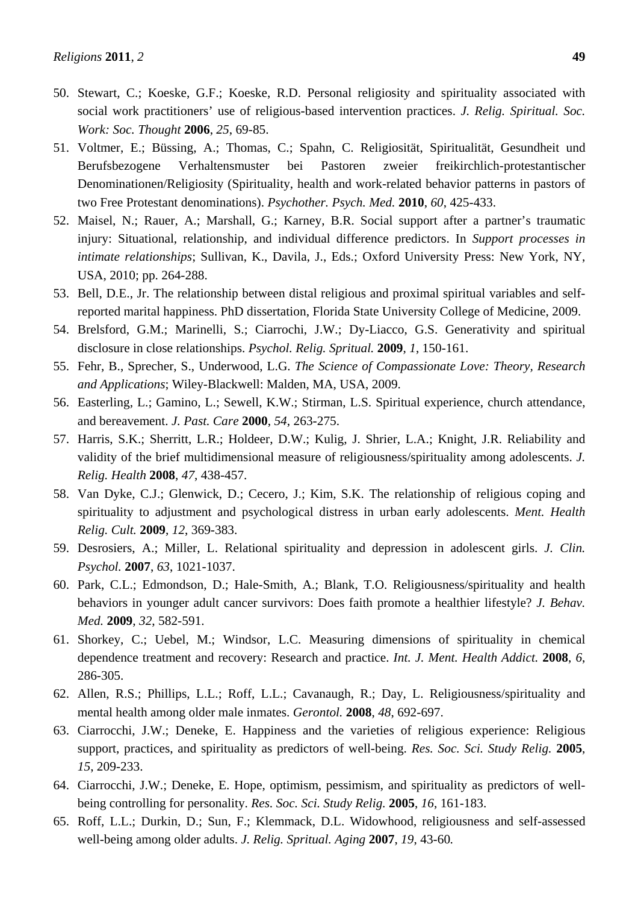- 50. Stewart, C.; Koeske, G.F.; Koeske, R.D. Personal religiosity and spirituality associated with social work practitioners' use of religious-based intervention practices. *J. Relig. Spiritual. Soc. Work: Soc. Thought* **2006**, *25*, 69-85.
- 51. Voltmer, E.; Büssing, A.; Thomas, C.; Spahn, C. Religiosität, Spiritualität, Gesundheit und Berufsbezogene Verhaltensmuster bei Pastoren zweier freikirchlich-protestantischer Denominationen/Religiosity (Spirituality, health and work-related behavior patterns in pastors of two Free Protestant denominations). *Psychother. Psych. Med.* **2010**, *60*, 425-433.
- 52. Maisel, N.; Rauer, A.; Marshall, G.; Karney, B.R. Social support after a partner's traumatic injury: Situational, relationship, and individual difference predictors. In *Support processes in intimate relationships*; Sullivan, K., Davila, J., Eds.; Oxford University Press: New York, NY, USA, 2010; pp. 264-288.
- 53. Bell, D.E., Jr. The relationship between distal religious and proximal spiritual variables and selfreported marital happiness. PhD dissertation, Florida State University College of Medicine, 2009.
- 54. Brelsford, G.M.; Marinelli, S.; Ciarrochi, J.W.; Dy-Liacco, G.S. Generativity and spiritual disclosure in close relationships. *Psychol. Relig. Spritual.* **2009**, *1*, 150-161.
- 55. Fehr, B., Sprecher, S., Underwood, L.G. *The Science of Compassionate Love: Theory, Research and Applications*; Wiley-Blackwell: Malden, MA, USA, 2009.
- 56. Easterling, L.; Gamino, L.; Sewell, K.W.; Stirman, L.S. Spiritual experience, church attendance, and bereavement. *J. Past. Care* **2000**, *54*, 263-275.
- 57. Harris, S.K.; Sherritt, L.R.; Holdeer, D.W.; Kulig, J. Shrier, L.A.; Knight, J.R. Reliability and validity of the brief multidimensional measure of religiousness/spirituality among adolescents. *J. Relig. Health* **2008**, *47*, 438-457.
- 58. Van Dyke, C.J.; Glenwick, D.; Cecero, J.; Kim, S.K. The relationship of religious coping and spirituality to adjustment and psychological distress in urban early adolescents. *Ment. Health Relig. Cult.* **2009**, *12*, 369-383.
- 59. Desrosiers, A.; Miller, L. Relational spirituality and depression in adolescent girls. *J. Clin. Psychol.* **2007**, *63*, 1021-1037.
- 60. Park, C.L.; Edmondson, D.; Hale-Smith, A.; Blank, T.O. Religiousness/spirituality and health behaviors in younger adult cancer survivors: Does faith promote a healthier lifestyle? *J. Behav. Med.* **2009**, *32*, 582-591.
- 61. Shorkey, C.; Uebel, M.; Windsor, L.C. Measuring dimensions of spirituality in chemical dependence treatment and recovery: Research and practice. *Int. J. Ment. Health Addict.* **2008**, *6*, 286-305.
- 62. Allen, R.S.; Phillips, L.L.; Roff, L.L.; Cavanaugh, R.; Day, L. Religiousness/spirituality and mental health among older male inmates. *Gerontol.* **2008**, *48*, 692-697.
- 63. Ciarrocchi, J.W.; Deneke, E. Happiness and the varieties of religious experience: Religious support, practices, and spirituality as predictors of well-being. *Res. Soc. Sci. Study Relig.* **2005**, *15*, 209-233.
- 64. Ciarrocchi, J.W.; Deneke, E. Hope, optimism, pessimism, and spirituality as predictors of wellbeing controlling for personality. *Res. Soc. Sci. Study Relig.* **2005**, *16*, 161-183.
- 65. Roff, L.L.; Durkin, D.; Sun, F.; Klemmack, D.L. Widowhood, religiousness and self-assessed well-being among older adults. *J. Relig. Spritual. Aging* **2007**, *19*, 43-60*.*